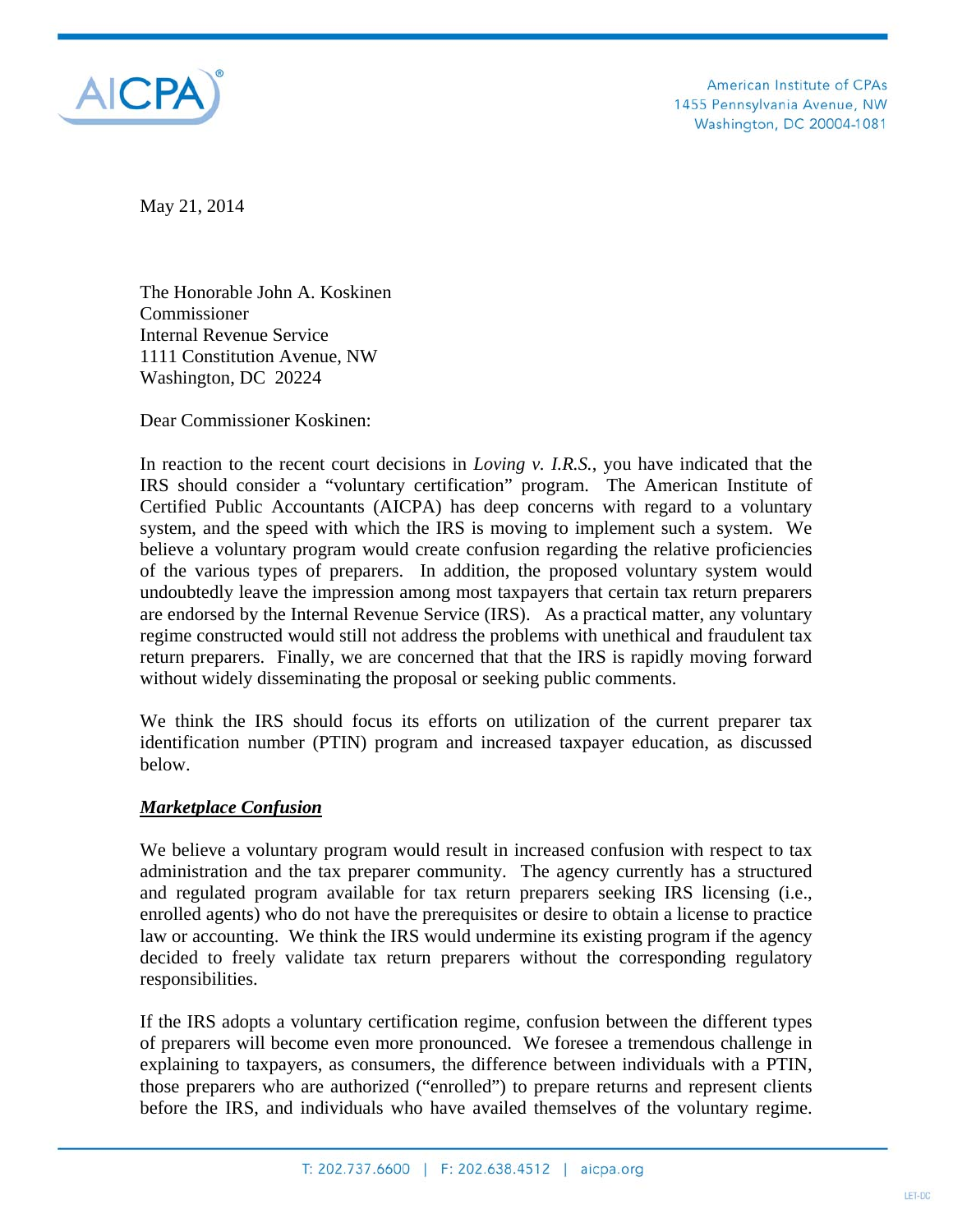

American Institute of CPAs 1455 Pennsylvania Avenue, NW Washington, DC 20004-1081

May 21, 2014

The Honorable John A. Koskinen Commissioner Internal Revenue Service 1111 Constitution Avenue, NW Washington, DC 20224

Dear Commissioner Koskinen:

In reaction to the recent court decisions in *Loving v. I.R.S.*, you have indicated that the IRS should consider a "voluntary certification" program. The American Institute of Certified Public Accountants (AICPA) has deep concerns with regard to a voluntary system, and the speed with which the IRS is moving to implement such a system. We believe a voluntary program would create confusion regarding the relative proficiencies of the various types of preparers. In addition, the proposed voluntary system would undoubtedly leave the impression among most taxpayers that certain tax return preparers are endorsed by the Internal Revenue Service (IRS). As a practical matter, any voluntary regime constructed would still not address the problems with unethical and fraudulent tax return preparers. Finally, we are concerned that that the IRS is rapidly moving forward without widely disseminating the proposal or seeking public comments.

We think the IRS should focus its efforts on utilization of the current preparer tax identification number (PTIN) program and increased taxpayer education, as discussed below.

### *Marketplace Confusion*

We believe a voluntary program would result in increased confusion with respect to tax administration and the tax preparer community. The agency currently has a structured and regulated program available for tax return preparers seeking IRS licensing (i.e., enrolled agents) who do not have the prerequisites or desire to obtain a license to practice law or accounting. We think the IRS would undermine its existing program if the agency decided to freely validate tax return preparers without the corresponding regulatory responsibilities.

If the IRS adopts a voluntary certification regime, confusion between the different types of preparers will become even more pronounced. We foresee a tremendous challenge in explaining to taxpayers, as consumers, the difference between individuals with a PTIN, those preparers who are authorized ("enrolled") to prepare returns and represent clients before the IRS, and individuals who have availed themselves of the voluntary regime.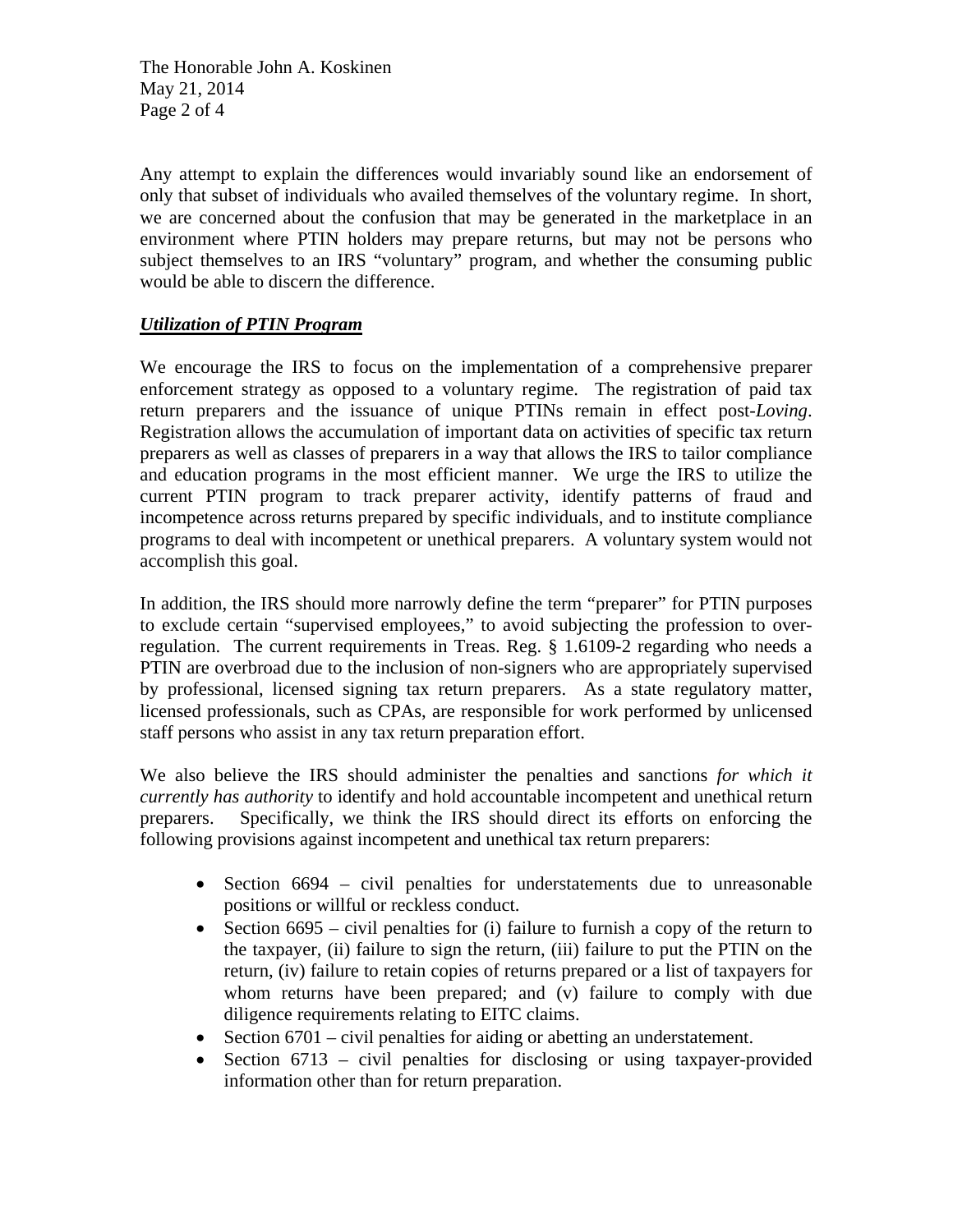The Honorable John A. Koskinen May 21, 2014 Page 2 of 4

Any attempt to explain the differences would invariably sound like an endorsement of only that subset of individuals who availed themselves of the voluntary regime. In short, we are concerned about the confusion that may be generated in the marketplace in an environment where PTIN holders may prepare returns, but may not be persons who subject themselves to an IRS "voluntary" program, and whether the consuming public would be able to discern the difference.

# *Utilization of PTIN Program*

We encourage the IRS to focus on the implementation of a comprehensive preparer enforcement strategy as opposed to a voluntary regime. The registration of paid tax return preparers and the issuance of unique PTINs remain in effect post-*Loving*. Registration allows the accumulation of important data on activities of specific tax return preparers as well as classes of preparers in a way that allows the IRS to tailor compliance and education programs in the most efficient manner. We urge the IRS to utilize the current PTIN program to track preparer activity, identify patterns of fraud and incompetence across returns prepared by specific individuals, and to institute compliance programs to deal with incompetent or unethical preparers. A voluntary system would not accomplish this goal.

In addition, the IRS should more narrowly define the term "preparer" for PTIN purposes to exclude certain "supervised employees," to avoid subjecting the profession to overregulation. The current requirements in Treas. Reg. § 1.6109-2 regarding who needs a PTIN are overbroad due to the inclusion of non-signers who are appropriately supervised by professional, licensed signing tax return preparers. As a state regulatory matter, licensed professionals, such as CPAs, are responsible for work performed by unlicensed staff persons who assist in any tax return preparation effort.

We also believe the IRS should administer the penalties and sanctions *for which it currently has authority* to identify and hold accountable incompetent and unethical return preparers. Specifically, we think the IRS should direct its efforts on enforcing the following provisions against incompetent and unethical tax return preparers:

- $\bullet$  Section 6694 civil penalties for understatements due to unreasonable positions or willful or reckless conduct.
- Section  $6695 -$  civil penalties for (i) failure to furnish a copy of the return to the taxpayer, (ii) failure to sign the return, (iii) failure to put the PTIN on the return, (iv) failure to retain copies of returns prepared or a list of taxpayers for whom returns have been prepared; and (v) failure to comply with due diligence requirements relating to EITC claims.
- Section 6701 civil penalties for aiding or abetting an understatement.
- Section  $6713$  civil penalties for disclosing or using taxpayer-provided information other than for return preparation.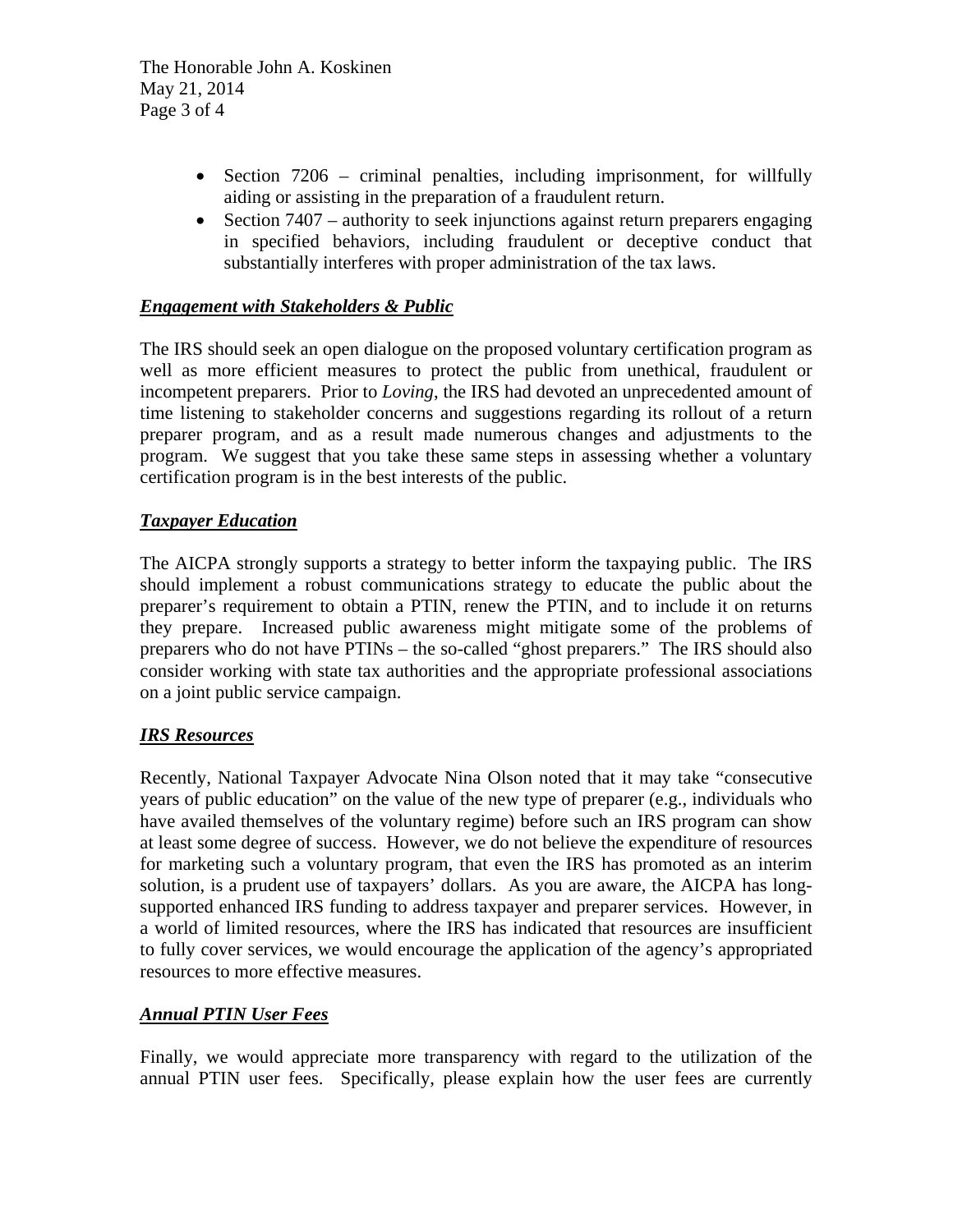The Honorable John A. Koskinen May 21, 2014 Page 3 of 4

- $\bullet$  Section 7206 criminal penalties, including imprisonment, for willfully aiding or assisting in the preparation of a fraudulent return.
- $\bullet$  Section 7407 authority to seek injunctions against return preparers engaging in specified behaviors, including fraudulent or deceptive conduct that substantially interferes with proper administration of the tax laws.

# *Engagement with Stakeholders & Public*

The IRS should seek an open dialogue on the proposed voluntary certification program as well as more efficient measures to protect the public from unethical, fraudulent or incompetent preparers. Prior to *Loving*, the IRS had devoted an unprecedented amount of time listening to stakeholder concerns and suggestions regarding its rollout of a return preparer program, and as a result made numerous changes and adjustments to the program. We suggest that you take these same steps in assessing whether a voluntary certification program is in the best interests of the public.

### *Taxpayer Education*

The AICPA strongly supports a strategy to better inform the taxpaying public. The IRS should implement a robust communications strategy to educate the public about the preparer's requirement to obtain a PTIN, renew the PTIN, and to include it on returns they prepare. Increased public awareness might mitigate some of the problems of preparers who do not have PTINs – the so-called "ghost preparers." The IRS should also consider working with state tax authorities and the appropriate professional associations on a joint public service campaign.

### *IRS Resources*

Recently, National Taxpayer Advocate Nina Olson noted that it may take "consecutive years of public education" on the value of the new type of preparer (e.g., individuals who have availed themselves of the voluntary regime) before such an IRS program can show at least some degree of success. However, we do not believe the expenditure of resources for marketing such a voluntary program, that even the IRS has promoted as an interim solution, is a prudent use of taxpayers' dollars. As you are aware, the AICPA has longsupported enhanced IRS funding to address taxpayer and preparer services. However, in a world of limited resources, where the IRS has indicated that resources are insufficient to fully cover services, we would encourage the application of the agency's appropriated resources to more effective measures.

### *Annual PTIN User Fees*

Finally, we would appreciate more transparency with regard to the utilization of the annual PTIN user fees. Specifically, please explain how the user fees are currently